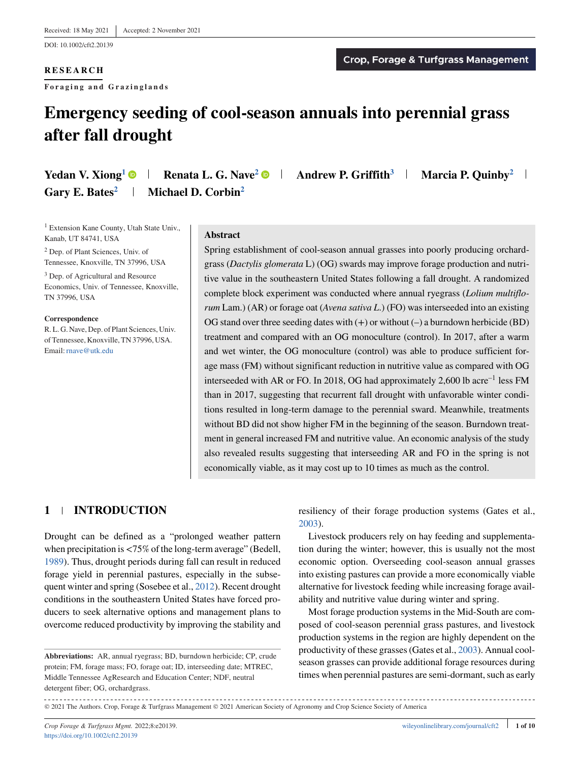DOI: 10.1002/cft2.20139

## **RESEARCH**

**Foraging and Grazinglands**

# **Emergency seeding of cool-season annuals into perennial grass after fall drought**

| <b>Yedan V. Xiong</b> <sup>1</sup> $\bullet$ | <b>Renata L. G. Nave<sup>2</sup> • Andrew P. Griffith</b> <sup>3</sup> | Marcia P. Quinby <sup>2</sup> |
|----------------------------------------------|------------------------------------------------------------------------|-------------------------------|
| Gary E. Bates <sup>2</sup>                   | <b>Michael D. Corbin</b> <sup>2</sup>                                  |                               |

<sup>1</sup> Extension Kane County, Utah State Univ., Kanab, UT 84741, USA

<sup>2</sup> Dep. of Plant Sciences, Univ. of Tennessee, Knoxville, TN 37996, USA

<sup>3</sup> Dep. of Agricultural and Resource Economics, Univ. of Tennessee, Knoxville, TN 37996, USA

**Correspondence** R. L. G. Nave, Dep. of Plant Sciences, Univ. of Tennessee, Knoxville, TN 37996, USA. Email:[rnave@utk.edu](mailto:rnave@utk.edu)

#### **Abstract**

Spring establishment of cool-season annual grasses into poorly producing orchardgrass (*Dactylis glomerata* L) (OG) swards may improve forage production and nutritive value in the southeastern United States following a fall drought. A randomized complete block experiment was conducted where annual ryegrass (*Lolium multiflorum* Lam.) (AR) or forage oat (*Avena sativa L*.) (FO) was interseeded into an existing OG stand over three seeding dates with  $(+)$  or without  $(-)$  a burndown herbicide (BD) treatment and compared with an OG monoculture (control). In 2017, after a warm and wet winter, the OG monoculture (control) was able to produce sufficient forage mass (FM) without significant reduction in nutritive value as compared with OG interseeded with AR or FO. In 2018, OG had approximately 2,600 lb acre<sup>-1</sup> less FM than in 2017, suggesting that recurrent fall drought with unfavorable winter conditions resulted in long-term damage to the perennial sward. Meanwhile, treatments without BD did not show higher FM in the beginning of the season. Burndown treatment in general increased FM and nutritive value. An economic analysis of the study also revealed results suggesting that interseeding AR and FO in the spring is not economically viable, as it may cost up to 10 times as much as the control.

## **1 INTRODUCTION**

Drought can be defined as a "prolonged weather pattern when precipitation is*<*75% of the long-term average" (Bedell, [1989\)](#page-9-0). Thus, drought periods during fall can result in reduced forage yield in perennial pastures, especially in the subsequent winter and spring (Sosebee et al., [2012\)](#page-9-0). Recent drought conditions in the southeastern United States have forced producers to seek alternative options and management plans to overcome reduced productivity by improving the stability and

resiliency of their forage production systems (Gates et al., [2003\)](#page-9-0).

Livestock producers rely on hay feeding and supplementation during the winter; however, this is usually not the most economic option. Overseeding cool-season annual grasses into existing pastures can provide a more economically viable alternative for livestock feeding while increasing forage availability and nutritive value during winter and spring.

Most forage production systems in the Mid-South are composed of cool-season perennial grass pastures, and livestock production systems in the region are highly dependent on the productivity of these grasses (Gates et al., [2003\)](#page-9-0). Annual coolseason grasses can provide additional forage resources during times when perennial pastures are semi-dormant, such as early

**Abbreviations:** AR, annual ryegrass; BD, burndown herbicide; CP, crude protein; FM, forage mass; FO, forage oat; ID, interseeding date; MTREC, Middle Tennessee AgResearch and Education Center; NDF, neutral detergent fiber; OG, orchardgrass.

<sup>------------------------------</sup>© 2021 The Authors. Crop, Forage & Turfgrass Management © 2021 American Society of Agronomy and Crop Science Society of America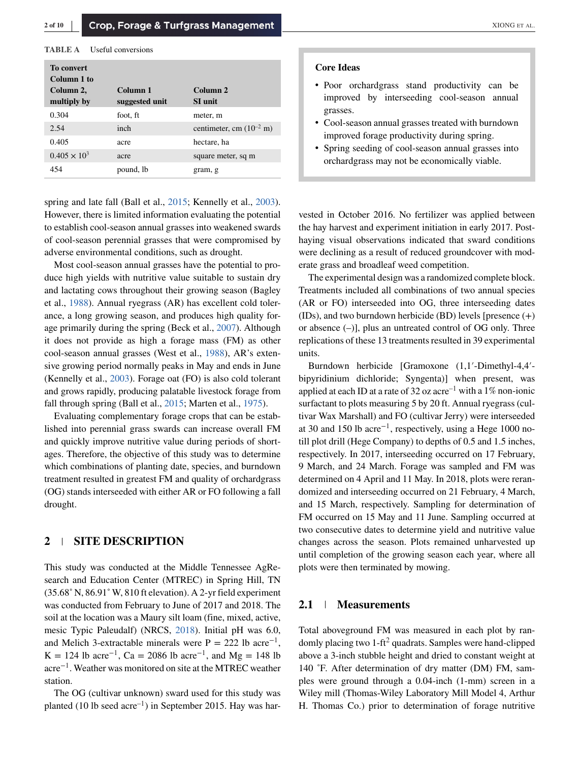#### **TABLE A** Useful conversions

| To convert<br>Column 1 to |                |                                      |
|---------------------------|----------------|--------------------------------------|
| Column 2,                 | Column 1       | Column 2                             |
| multiply by               | suggested unit | <b>SI</b> unit                       |
| 0.304                     | foot, ft       | meter, m                             |
| 2.54                      | inch           | centimeter, cm $(10^{-2} \text{ m})$ |
| 0.405                     | acre           | hectare, ha                          |
| $0.405 \times 10^{3}$     | acre           | square meter, sq m                   |
| 454                       | pound, lb      | gram, g                              |

spring and late fall (Ball et al., [2015;](#page-9-0) Kennelly et al., [2003\)](#page-9-0). However, there is limited information evaluating the potential to establish cool-season annual grasses into weakened swards of cool-season perennial grasses that were compromised by adverse environmental conditions, such as drought.

Most cool-season annual grasses have the potential to produce high yields with nutritive value suitable to sustain dry and lactating cows throughout their growing season (Bagley et al., [1988\)](#page-9-0). Annual ryegrass (AR) has excellent cold tolerance, a long growing season, and produces high quality forage primarily during the spring (Beck et al., [2007\)](#page-9-0). Although it does not provide as high a forage mass (FM) as other cool-season annual grasses (West et al., [1988\)](#page-9-0), AR's extensive growing period normally peaks in May and ends in June (Kennelly et al., [2003\)](#page-9-0). Forage oat (FO) is also cold tolerant and grows rapidly, producing palatable livestock forage from fall through spring (Ball et al., [2015;](#page-9-0) Marten et al., [1975\)](#page-9-0).

Evaluating complementary forage crops that can be established into perennial grass swards can increase overall FM and quickly improve nutritive value during periods of shortages. Therefore, the objective of this study was to determine which combinations of planting date, species, and burndown treatment resulted in greatest FM and quality of orchardgrass (OG) stands interseeded with either AR or FO following a fall drought.

## **2 SITE DESCRIPTION**

This study was conducted at the Middle Tennessee AgResearch and Education Center (MTREC) in Spring Hill, TN (35.68˚ N, 86.91˚ W, 810 ft elevation). A 2-yr field experiment was conducted from February to June of 2017 and 2018. The soil at the location was a Maury silt loam (fine, mixed, active, mesic Typic Paleudalf) (NRCS, [2018\)](#page-9-0). Initial pH was 6.0, and Melich 3-extractable minerals were P = 222 lb acre<sup>-1</sup>, K = 124 lb acre<sup>-1</sup>, Ca = 2086 lb acre<sup>-1</sup>, and Mg = 148 lb acre<sup>−</sup>1. Weather was monitored on site at the MTREC weather station.

The OG (cultivar unknown) sward used for this study was planted (10 lb seed  $\arctan^{-1}$ ) in September 2015. Hay was har-

#### **Core Ideas**

- ∙ Poor orchardgrass stand productivity can be improved by interseeding cool-season annual grasses.
- ∙ Cool-season annual grasses treated with burndown improved forage productivity during spring.
- ∙ Spring seeding of cool-season annual grasses into orchardgrass may not be economically viable.

vested in October 2016. No fertilizer was applied between the hay harvest and experiment initiation in early 2017. Posthaying visual observations indicated that sward conditions were declining as a result of reduced groundcover with moderate grass and broadleaf weed competition.

The experimental design was a randomized complete block. Treatments included all combinations of two annual species (AR or FO) interseeded into OG, three interseeding dates (IDs), and two burndown herbicide (BD) levels [presence (+) or absence (–)], plus an untreated control of OG only. Three replications of these 13 treatments resulted in 39 experimental units.

Burndown herbicide [Gramoxone (1,1′-Dimethyl-4,4′ bipyridinium dichloride; Syngenta)] when present, was applied at each ID at a rate of 32 oz acre<sup>-1</sup> with a 1% non-ionic surfactant to plots measuring 5 by 20 ft. Annual ryegrass (cultivar Wax Marshall) and FO (cultivar Jerry) were interseeded at 30 and 150 lb acre<sup>-1</sup>, respectively, using a Hege 1000 notill plot drill (Hege Company) to depths of 0.5 and 1.5 inches, respectively. In 2017, interseeding occurred on 17 February, 9 March, and 24 March. Forage was sampled and FM was determined on 4 April and 11 May. In 2018, plots were rerandomized and interseeding occurred on 21 February, 4 March, and 15 March, respectively. Sampling for determination of FM occurred on 15 May and 11 June. Sampling occurred at two consecutive dates to determine yield and nutritive value changes across the season. Plots remained unharvested up until completion of the growing season each year, where all plots were then terminated by mowing.

### **2.1 Measurements**

Total aboveground FM was measured in each plot by randomly placing two 1-ft2 quadrats. Samples were hand-clipped above a 3-inch stubble height and dried to constant weight at 140 ˚F. After determination of dry matter (DM) FM, samples were ground through a 0.04-inch (1-mm) screen in a Wiley mill (Thomas-Wiley Laboratory Mill Model 4, Arthur H. Thomas Co.) prior to determination of forage nutritive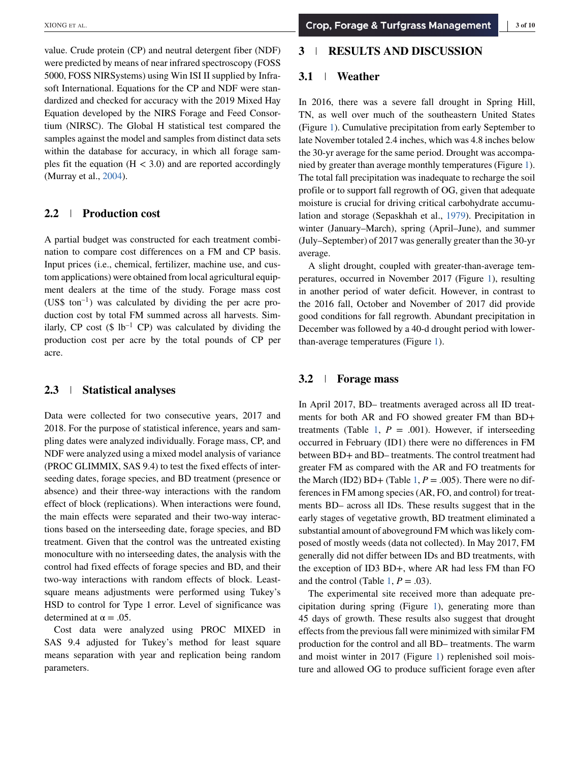value. Crude protein (CP) and neutral detergent fiber (NDF) were predicted by means of near infrared spectroscopy (FOSS 5000, FOSS NIRSystems) using Win ISI II supplied by Infrasoft International. Equations for the CP and NDF were standardized and checked for accuracy with the 2019 Mixed Hay Equation developed by the NIRS Forage and Feed Consortium (NIRSC). The Global H statistical test compared the samples against the model and samples from distinct data sets within the database for accuracy, in which all forage samples fit the equation (H *<* 3.0) and are reported accordingly (Murray et al., [2004\)](#page-9-0).

## **2.2 Production cost**

A partial budget was constructed for each treatment combination to compare cost differences on a FM and CP basis. Input prices (i.e., chemical, fertilizer, machine use, and custom applications) were obtained from local agricultural equipment dealers at the time of the study. Forage mass cost (US\$ ton<sup>-1</sup>) was calculated by dividing the per acre production cost by total FM summed across all harvests. Similarly, CP cost  $(\$ 1b^{-1}$  CP) was calculated by dividing the production cost per acre by the total pounds of CP per acre.

#### **2.3 Statistical analyses**

Data were collected for two consecutive years, 2017 and 2018. For the purpose of statistical inference, years and sampling dates were analyzed individually. Forage mass, CP, and NDF were analyzed using a mixed model analysis of variance (PROC GLIMMIX, SAS 9.4) to test the fixed effects of interseeding dates, forage species, and BD treatment (presence or absence) and their three-way interactions with the random effect of block (replications). When interactions were found, the main effects were separated and their two-way interactions based on the interseeding date, forage species, and BD treatment. Given that the control was the untreated existing monoculture with no interseeding dates, the analysis with the control had fixed effects of forage species and BD, and their two-way interactions with random effects of block. Leastsquare means adjustments were performed using Tukey's HSD to control for Type 1 error. Level of significance was determined at  $\alpha = .05$ .

Cost data were analyzed using PROC MIXED in SAS 9.4 adjusted for Tukey's method for least square means separation with year and replication being random parameters.

## **3 RESULTS AND DISCUSSION**

### **3.1 Weather**

In 2016, there was a severe fall drought in Spring Hill, TN, as well over much of the southeastern United States (Figure [1\)](#page-3-0). Cumulative precipitation from early September to late November totaled 2.4 inches, which was 4.8 inches below the 30-yr average for the same period. Drought was accompanied by greater than average monthly temperatures (Figure [1\)](#page-3-0). The total fall precipitation was inadequate to recharge the soil profile or to support fall regrowth of OG, given that adequate moisture is crucial for driving critical carbohydrate accumulation and storage (Sepaskhah et al., [1979\)](#page-9-0). Precipitation in winter (January–March), spring (April–June), and summer (July–September) of 2017 was generally greater than the 30-yr average.

A slight drought, coupled with greater-than-average temperatures, occurred in November 2017 (Figure [1\)](#page-3-0), resulting in another period of water deficit. However, in contrast to the 2016 fall, October and November of 2017 did provide good conditions for fall regrowth. Abundant precipitation in December was followed by a 40-d drought period with lowerthan-average temperatures (Figure [1\)](#page-3-0).

#### **3.2 Forage mass**

In April 2017, BD– treatments averaged across all ID treatments for both AR and FO showed greater FM than BD+ treatments (Table [1,](#page-3-0)  $P = .001$ ). However, if interseeding occurred in February (ID1) there were no differences in FM between BD+ and BD– treatments. The control treatment had greater FM as compared with the AR and FO treatments for the March (ID2) BD+ (Table [1,](#page-3-0)  $P = .005$ ). There were no differences in FM among species (AR, FO, and control) for treatments BD– across all IDs. These results suggest that in the early stages of vegetative growth, BD treatment eliminated a substantial amount of aboveground FM which was likely composed of mostly weeds (data not collected). In May 2017, FM generally did not differ between IDs and BD treatments, with the exception of ID3 BD+, where AR had less FM than FO and the control (Table [1,](#page-3-0)  $P = .03$ ).

The experimental site received more than adequate precipitation during spring (Figure [1\)](#page-3-0), generating more than 45 days of growth. These results also suggest that drought effects from the previous fall were minimized with similar FM production for the control and all BD– treatments. The warm and moist winter in 2017 (Figure [1\)](#page-3-0) replenished soil moisture and allowed OG to produce sufficient forage even after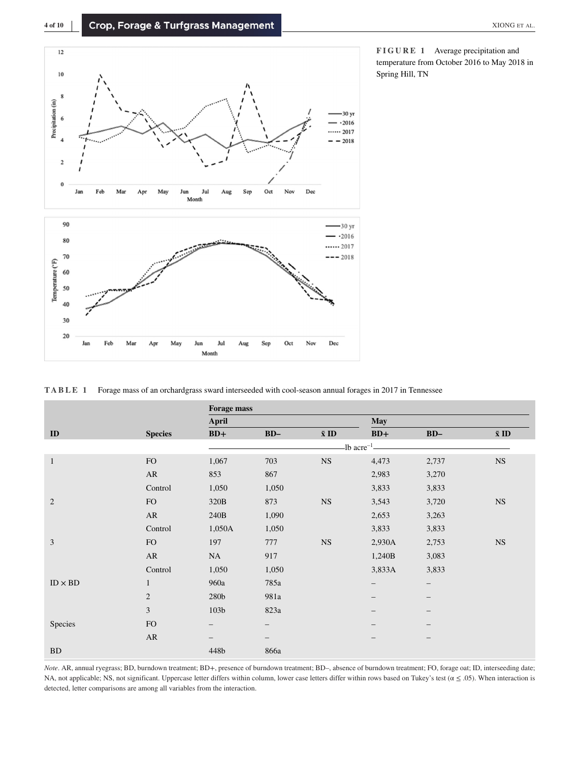<span id="page-3-0"></span>



**FIGURE 1** Average precipitation and temperature from October 2016 to May 2018 in Spring Hill, TN

|  | <b>TABLE</b> 1 Forage mass of an orchardgrass sward interseeded with cool-season annual forages in 2017 in Tennessee |  |  |  |  |  |  |  |  |
|--|----------------------------------------------------------------------------------------------------------------------|--|--|--|--|--|--|--|--|
|--|----------------------------------------------------------------------------------------------------------------------|--|--|--|--|--|--|--|--|

|                |                | <b>Forage mass</b> |       |              |                                         |                          |              |
|----------------|----------------|--------------------|-------|--------------|-----------------------------------------|--------------------------|--------------|
|                |                | April              |       |              | <b>May</b>                              |                          |              |
| ID             | <b>Species</b> | $BD+$              | $BD-$ | $\bar{x}$ ID | $BD+$                                   | $BD-$                    | $\bar{x}$ ID |
|                |                |                    |       |              | $-lb$ acre <sup><math>-l</math></sup> - |                          |              |
| 1              | <b>FO</b>      | 1,067              | 703   | <b>NS</b>    | 4,473                                   | 2,737                    | <b>NS</b>    |
|                | AR             | 853                | 867   |              | 2,983                                   | 3,270                    |              |
|                | Control        | 1,050              | 1,050 |              | 3,833                                   | 3,833                    |              |
| $\overline{2}$ | <b>FO</b>      | 320B               | 873   | $_{\rm NS}$  | 3,543                                   | 3,720                    | <b>NS</b>    |
|                | AR             | 240B               | 1,090 |              | 2,653                                   | 3,263                    |              |
|                | Control        | 1,050A             | 1,050 |              | 3,833                                   | 3,833                    |              |
| $\overline{3}$ | FO             | 197                | 777   | <b>NS</b>    | 2,930A                                  | 2,753                    | <b>NS</b>    |
|                | AR             | NA                 | 917   |              | 1,240B                                  | 3,083                    |              |
|                | Control        | 1,050              | 1,050 |              | 3,833A                                  | 3,833                    |              |
| $ID \times BD$ | 1              | 960a               | 785a  |              | -                                       | $\overline{\phantom{m}}$ |              |
|                | $\overline{2}$ | 280b               | 981a  |              |                                         |                          |              |
|                | 3              | 103 <sub>b</sub>   | 823a  |              |                                         |                          |              |
| Species        | FO             | -                  |       |              |                                         |                          |              |
|                | AR             | $\qquad \qquad -$  |       |              | $\qquad \qquad -$                       | $\qquad \qquad -$        |              |
| <b>BD</b>      |                | 448b               | 866a  |              |                                         |                          |              |

*Note*. AR, annual ryegrass; BD, burndown treatment; BD+, presence of burndown treatment; BD–, absence of burndown treatment; FO, forage oat; ID, interseeding date; NA, not applicable; NS, not significant. Uppercase letter differs within column, lower case letters differ within rows based on Tukey's test ( $\alpha \le .05$ ). When interaction is detected, letter comparisons are among all variables from the interaction.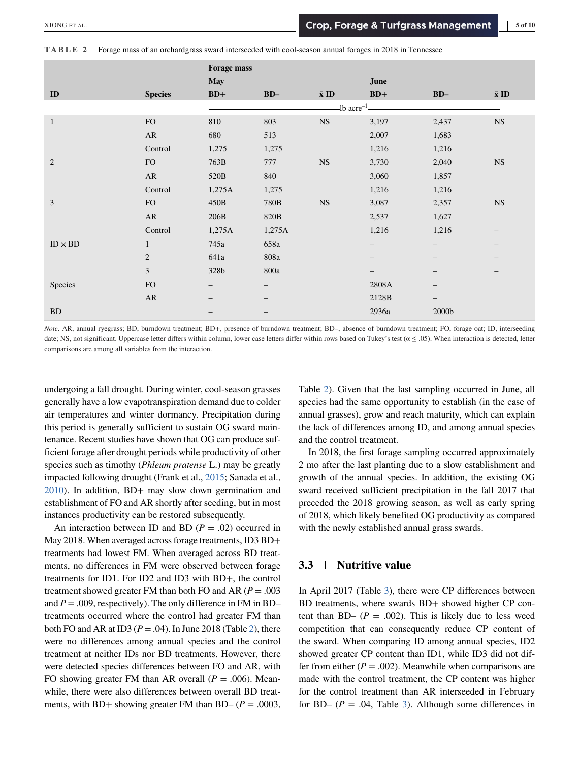**TABLE 2** Forage mass of an orchardgrass sward interseeded with cool-season annual forages in 2018 in Tennessee

<span id="page-4-0"></span>

| AIOITU EI AL.  |                                                                                                       |                    |        |                       |                                         | Crop, Forage & Turigrass management | $\sim$ 01 10 |
|----------------|-------------------------------------------------------------------------------------------------------|--------------------|--------|-----------------------|-----------------------------------------|-------------------------------------|--------------|
| TABLE 2        | Forage mass of an orchardgrass sward interseeded with cool-season annual forages in 2018 in Tennessee |                    |        |                       |                                         |                                     |              |
|                |                                                                                                       | <b>Forage mass</b> |        |                       |                                         |                                     |              |
|                |                                                                                                       | <b>May</b>         |        |                       | June                                    |                                     |              |
| ${\bf ID}$     | <b>Species</b>                                                                                        | $BD+$              | $BD-$  | $\bar{\mathbf{x}}$ ID | $BD+$                                   | $BD-$                               | $\bar{x}$ ID |
|                |                                                                                                       |                    |        |                       | $-lb$ acre <sup><math>-l</math></sup> . |                                     |              |
| $\mathbf{1}$   | FO                                                                                                    | 810                | 803    | $_{\rm NS}$           | 3,197                                   | 2,437                               | $_{\rm NS}$  |
|                | AR                                                                                                    | 680                | 513    |                       | 2,007                                   | 1,683                               |              |
|                | Control                                                                                               | 1,275              | 1,275  |                       | 1,216                                   | 1,216                               |              |
| $\overline{2}$ | FO                                                                                                    | 763B               | 777    | $_{\rm NS}$           | 3,730                                   | 2,040                               | $_{\rm NS}$  |
|                | AR                                                                                                    | 520B               | 840    |                       | 3,060                                   | 1,857                               |              |
|                | Control                                                                                               | 1,275A             | 1,275  |                       | 1,216                                   | 1,216                               |              |
| 3              | FO                                                                                                    | 450B               | 780B   | $_{\rm NS}$           | 3,087                                   | 2,357                               | $_{\rm NS}$  |
|                | AR                                                                                                    | 206B               | 820B   |                       | 2,537                                   | 1,627                               |              |
|                | Control                                                                                               | 1,275A             | 1,275A |                       | 1,216                                   | 1,216                               |              |
| $ID \times BD$ | $\mathbf{1}$                                                                                          | 745a               | 658a   |                       |                                         |                                     |              |
|                | $\mathbf{2}$                                                                                          | 641a               | 808a   |                       |                                         |                                     |              |
|                | 3                                                                                                     | 328b               | 800a   |                       |                                         |                                     |              |
| Species        | ${\rm FO}$                                                                                            |                    |        |                       | 2808A                                   |                                     |              |
|                | AR                                                                                                    |                    |        |                       | 2128B                                   |                                     |              |
| <b>BD</b>      |                                                                                                       |                    |        |                       | 2936a                                   | 2000b                               |              |

*Note*. AR, annual ryegrass; BD, burndown treatment; BD+, presence of burndown treatment; BD–, absence of burndown treatment; FO, forage oat; ID, interseeding date; NS, not significant. Uppercase letter differs within column, lower case letters differ within rows based on Tukey's test ( $\alpha \le .05$ ). When interaction is detected, letter comparisons are among all variables from the interaction.

undergoing a fall drought. During winter, cool-season grasses generally have a low evapotranspiration demand due to colder air temperatures and winter dormancy. Precipitation during this period is generally sufficient to sustain OG sward maintenance. Recent studies have shown that OG can produce sufficient forage after drought periods while productivity of other species such as timothy (*Phleum pratense* L.) may be greatly impacted following drought (Frank et al., [2015;](#page-9-0) Sanada et al., [2010\)](#page-9-0). In addition, BD+ may slow down germination and establishment of FO and AR shortly after seeding, but in most instances productivity can be restored subsequently.

An interaction between ID and BD  $(P = .02)$  occurred in May 2018. When averaged across forage treatments, ID3 BD+ treatments had lowest FM. When averaged across BD treatments, no differences in FM were observed between forage treatments for ID1. For ID2 and ID3 with BD+, the control treatment showed greater FM than both FO and AR  $(P = .003)$ and  $P = 0.009$ , respectively). The only difference in FM in BD– treatments occurred where the control had greater FM than both FO and AR at ID3 (*P* = .04). In June 2018 (Table 2), there were no differences among annual species and the control treatment at neither IDs nor BD treatments. However, there were detected species differences between FO and AR, with FO showing greater FM than AR overall  $(P = .006)$ . Meanwhile, there were also differences between overall BD treatments, with BD+ showing greater FM than BD–  $(P = .0003,$ 

Table 2). Given that the last sampling occurred in June, all species had the same opportunity to establish (in the case of annual grasses), grow and reach maturity, which can explain the lack of differences among ID, and among annual species and the control treatment.

In 2018, the first forage sampling occurred approximately 2 mo after the last planting due to a slow establishment and growth of the annual species. In addition, the existing OG sward received sufficient precipitation in the fall 2017 that preceded the 2018 growing season, as well as early spring of 2018, which likely benefited OG productivity as compared with the newly established annual grass swards.

## **3.3 Nutritive value**

In April 2017 (Table [3\)](#page-5-0), there were CP differences between BD treatments, where swards BD+ showed higher CP content than BD–  $(P = .002)$ . This is likely due to less weed competition that can consequently reduce CP content of the sward. When comparing ID among annual species, ID2 showed greater CP content than ID1, while ID3 did not differ from either  $(P = .002)$ . Meanwhile when comparisons are made with the control treatment, the CP content was higher for the control treatment than AR interseeded in February for BD–  $(P = .04,$  Table [3\)](#page-5-0). Although some differences in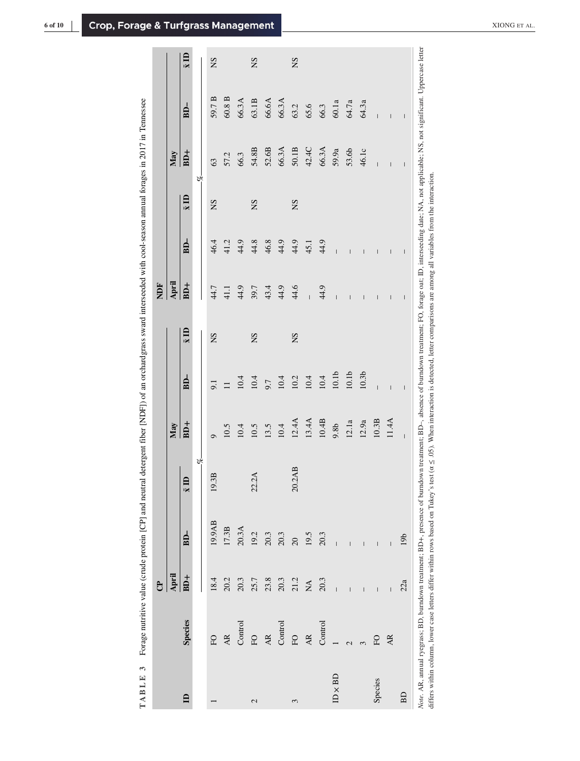| $\frac{1}{2}$<br>)                                            |   |
|---------------------------------------------------------------|---|
| ׇ֘֝֕֡<br>E<br>ł                                               |   |
| ľ<br>ï                                                        |   |
| I                                                             |   |
|                                                               |   |
|                                                               |   |
| 3131                                                          |   |
| ֚                                                             |   |
| ē                                                             |   |
|                                                               |   |
|                                                               |   |
|                                                               |   |
|                                                               |   |
|                                                               |   |
| ł<br>ł                                                        |   |
| I                                                             |   |
| ׇ֚֬֡                                                          |   |
| $\ddot{\phantom{0}}$<br>į                                     |   |
| ;                                                             |   |
| ,                                                             |   |
|                                                               |   |
|                                                               |   |
| ļ                                                             |   |
| i                                                             |   |
|                                                               |   |
| j                                                             |   |
| ı<br>Ì                                                        |   |
| i<br>į                                                        |   |
| $\vdots$                                                      |   |
| ļ                                                             |   |
|                                                               |   |
|                                                               |   |
|                                                               |   |
| ì                                                             |   |
| ֚֘֝                                                           |   |
| Í<br>I                                                        |   |
| l                                                             |   |
|                                                               |   |
| I                                                             |   |
| ֖֖֖֖֖֖֖֧ׅ֖֧ׅ֪ׅ֖֧֪֪ׅ֪֪֪֪֧֪֪֪֪֧֪ׅ֧֚֚֚֚֚֚֚֚֚֚֚֚֚֚֚֚֚֚֚֚֚֚֚֚֬֝֝֝֓ |   |
| Ì                                                             |   |
| ֚֓                                                            |   |
|                                                               |   |
| j                                                             |   |
| $\frac{1}{2}$<br>i                                            |   |
| j                                                             |   |
| i                                                             |   |
| ۱                                                             | l |
| Ę<br>J                                                        |   |
| $\frac{1}{2}$                                                 |   |
| 1<br>ī<br>j                                                   |   |
|                                                               |   |
|                                                               |   |
|                                                               |   |
| l                                                             |   |
| 1                                                             |   |
|                                                               |   |
|                                                               |   |
| j                                                             |   |
| j<br>į<br>i                                                   |   |
| ۱                                                             |   |
|                                                               |   |
| j                                                             |   |
| Į<br>֚֓                                                       |   |
|                                                               |   |
|                                                               |   |
| ļ<br>l<br>l<br>$\overline{ }$                                 |   |
| $\overline{a}$<br>١                                           |   |
| l<br>$\overline{a}$<br>l<br>l                                 |   |

<span id="page-5-0"></span>

|                |           | <b>C</b>                   |                                                                                                                                                                                                                              |              |                  |                          |                   | FON                                                                                                                                                                                                                                                                                                                                                                                                            |                                                                                                                                                                                                                                                                                                                                                                                                                |                   |                                                                                                                                                                                                                                                                                                                                                                                                                |                   |                   |
|----------------|-----------|----------------------------|------------------------------------------------------------------------------------------------------------------------------------------------------------------------------------------------------------------------------|--------------|------------------|--------------------------|-------------------|----------------------------------------------------------------------------------------------------------------------------------------------------------------------------------------------------------------------------------------------------------------------------------------------------------------------------------------------------------------------------------------------------------------|----------------------------------------------------------------------------------------------------------------------------------------------------------------------------------------------------------------------------------------------------------------------------------------------------------------------------------------------------------------------------------------------------------------|-------------------|----------------------------------------------------------------------------------------------------------------------------------------------------------------------------------------------------------------------------------------------------------------------------------------------------------------------------------------------------------------------------------------------------------------|-------------------|-------------------|
|                |           | April                      |                                                                                                                                                                                                                              |              | May              |                          |                   | April                                                                                                                                                                                                                                                                                                                                                                                                          |                                                                                                                                                                                                                                                                                                                                                                                                                |                   | May                                                                                                                                                                                                                                                                                                                                                                                                            |                   |                   |
| $\mathbf{a}$   | Species   | BD <sup>+</sup>            | $BD-$                                                                                                                                                                                                                        | $\bar{x}$ ID | $BD+$            | $BD-$                    | $\overline{x}$ ID | $BD+$                                                                                                                                                                                                                                                                                                                                                                                                          | $BD-$                                                                                                                                                                                                                                                                                                                                                                                                          | $\overline{x}$ ID | $BD+$                                                                                                                                                                                                                                                                                                                                                                                                          | $BD-$             | $\overline{x}$ ID |
|                |           |                            |                                                                                                                                                                                                                              | Ř,           |                  |                          |                   |                                                                                                                                                                                                                                                                                                                                                                                                                |                                                                                                                                                                                                                                                                                                                                                                                                                |                   | P,                                                                                                                                                                                                                                                                                                                                                                                                             |                   |                   |
|                | FO        | 18.4                       | 19.9AB                                                                                                                                                                                                                       | 3B<br>19.    | $\sigma$         | 9.1                      | SN                | 44.7                                                                                                                                                                                                                                                                                                                                                                                                           | 46.4                                                                                                                                                                                                                                                                                                                                                                                                           | SN                | 63                                                                                                                                                                                                                                                                                                                                                                                                             | 59.7 <sub>B</sub> | SN                |
|                | <b>AR</b> | 20.2                       | $17.3B$                                                                                                                                                                                                                      |              | $10.5$           |                          |                   | 41.1                                                                                                                                                                                                                                                                                                                                                                                                           | 41.2                                                                                                                                                                                                                                                                                                                                                                                                           |                   | 57.2                                                                                                                                                                                                                                                                                                                                                                                                           | $60.8$ B          |                   |
|                | Control   | 20.3                       | 20.3A                                                                                                                                                                                                                        |              | 10.4             | $\frac{11}{10.4}$        |                   | 44.9                                                                                                                                                                                                                                                                                                                                                                                                           | 44.9                                                                                                                                                                                                                                                                                                                                                                                                           |                   | 66.3                                                                                                                                                                                                                                                                                                                                                                                                           | 66.3A             |                   |
| 2              | FO        | 25.7                       |                                                                                                                                                                                                                              | 22.2A        | 10.5             |                          | SN                | 39.7                                                                                                                                                                                                                                                                                                                                                                                                           | 44.8                                                                                                                                                                                                                                                                                                                                                                                                           | SN                | 54.8B                                                                                                                                                                                                                                                                                                                                                                                                          | 63.1B             | SN                |
|                | AR        | 23.8                       | $\frac{19.2}{20.3}$                                                                                                                                                                                                          |              | 13.5             | 9.7                      |                   | 43.4                                                                                                                                                                                                                                                                                                                                                                                                           | 46.8                                                                                                                                                                                                                                                                                                                                                                                                           |                   | 52.6B                                                                                                                                                                                                                                                                                                                                                                                                          | 66.6A             |                   |
|                | Control   | 20.3                       |                                                                                                                                                                                                                              |              | $10.4\,$         | 10.4                     |                   | 44.9                                                                                                                                                                                                                                                                                                                                                                                                           | 44.9                                                                                                                                                                                                                                                                                                                                                                                                           |                   | 66.3A                                                                                                                                                                                                                                                                                                                                                                                                          | 66.3A             |                   |
| 3              | FO        | 21.2                       | 20                                                                                                                                                                                                                           | 20.2AB       | 12.4A            | $10.2$<br>$10.4$         | SN                | 44.6                                                                                                                                                                                                                                                                                                                                                                                                           | 44.9                                                                                                                                                                                                                                                                                                                                                                                                           | SN                | 50.1B                                                                                                                                                                                                                                                                                                                                                                                                          | 63.2              | SN                |
|                | AR        | $\mathop{\rm NA}\nolimits$ | $19.5$<br>20.3                                                                                                                                                                                                               |              | 13.4A            |                          |                   | $\overline{1}$                                                                                                                                                                                                                                                                                                                                                                                                 | 45.1                                                                                                                                                                                                                                                                                                                                                                                                           |                   | 42.4C                                                                                                                                                                                                                                                                                                                                                                                                          | 65.6              |                   |
|                | Control   | 20.3                       |                                                                                                                                                                                                                              |              | $10.4B$          | 10.4                     |                   | 44.9                                                                                                                                                                                                                                                                                                                                                                                                           | 44.9                                                                                                                                                                                                                                                                                                                                                                                                           |                   | 66.3A                                                                                                                                                                                                                                                                                                                                                                                                          | 66.3              |                   |
| $ID \times BD$ |           | $\overline{1}$             |                                                                                                                                                                                                                              |              | 9.8 <sub>b</sub> | $10.1b$                  |                   | $\overline{1}$                                                                                                                                                                                                                                                                                                                                                                                                 | $\overline{1}$                                                                                                                                                                                                                                                                                                                                                                                                 |                   | 59.9a                                                                                                                                                                                                                                                                                                                                                                                                          | 60.1a             |                   |
|                |           | $\overline{1}$             | $\overline{1}$                                                                                                                                                                                                               |              | $12.1a$          | 10.1 <sub>b</sub>        |                   | Ī                                                                                                                                                                                                                                                                                                                                                                                                              | Ī                                                                                                                                                                                                                                                                                                                                                                                                              |                   | 53.6b                                                                                                                                                                                                                                                                                                                                                                                                          | 64.7a             |                   |
|                |           | Ī                          | $\overline{1}$                                                                                                                                                                                                               |              | 12.9a            | 10.3 <sub>b</sub>        |                   | Ī                                                                                                                                                                                                                                                                                                                                                                                                              | I                                                                                                                                                                                                                                                                                                                                                                                                              |                   | 46.1c                                                                                                                                                                                                                                                                                                                                                                                                          | 64.3a             |                   |
| Species        | EO        | $\overline{1}$             | $\overline{1}$                                                                                                                                                                                                               |              | $10.3B$          | $\overline{1}$           |                   | $\overline{1}$                                                                                                                                                                                                                                                                                                                                                                                                 | I                                                                                                                                                                                                                                                                                                                                                                                                              |                   | $\overline{1}$                                                                                                                                                                                                                                                                                                                                                                                                 | $\overline{1}$    |                   |
|                | AR.       | $\overline{1}$             | $\overline{1}$                                                                                                                                                                                                               |              | 11.4A            | $\overline{\phantom{a}}$ |                   | $\overline{\phantom{a}}$                                                                                                                                                                                                                                                                                                                                                                                       | $\begin{array}{c} \end{array}$                                                                                                                                                                                                                                                                                                                                                                                 |                   | $\begin{array}{c} \hline \end{array}$                                                                                                                                                                                                                                                                                                                                                                          | $\overline{1}$    |                   |
| BD             |           | 22a                        | 19 <sub>b</sub>                                                                                                                                                                                                              |              | $\overline{1}$   | $\overline{1}$           |                   | $\begin{array}{c} \rule{0pt}{2ex} \rule{0pt}{2ex} \rule{0pt}{2ex} \rule{0pt}{2ex} \rule{0pt}{2ex} \rule{0pt}{2ex} \rule{0pt}{2ex} \rule{0pt}{2ex} \rule{0pt}{2ex} \rule{0pt}{2ex} \rule{0pt}{2ex} \rule{0pt}{2ex} \rule{0pt}{2ex} \rule{0pt}{2ex} \rule{0pt}{2ex} \rule{0pt}{2ex} \rule{0pt}{2ex} \rule{0pt}{2ex} \rule{0pt}{2ex} \rule{0pt}{2ex} \rule{0pt}{2ex} \rule{0pt}{2ex} \rule{0pt}{2ex} \rule{0pt}{$ | $\begin{array}{c} \rule{0pt}{2ex} \rule{0pt}{2ex} \rule{0pt}{2ex} \rule{0pt}{2ex} \rule{0pt}{2ex} \rule{0pt}{2ex} \rule{0pt}{2ex} \rule{0pt}{2ex} \rule{0pt}{2ex} \rule{0pt}{2ex} \rule{0pt}{2ex} \rule{0pt}{2ex} \rule{0pt}{2ex} \rule{0pt}{2ex} \rule{0pt}{2ex} \rule{0pt}{2ex} \rule{0pt}{2ex} \rule{0pt}{2ex} \rule{0pt}{2ex} \rule{0pt}{2ex} \rule{0pt}{2ex} \rule{0pt}{2ex} \rule{0pt}{2ex} \rule{0pt}{$ |                   | $\begin{array}{c} \rule{0pt}{2ex} \rule{0pt}{2ex} \rule{0pt}{2ex} \rule{0pt}{2ex} \rule{0pt}{2ex} \rule{0pt}{2ex} \rule{0pt}{2ex} \rule{0pt}{2ex} \rule{0pt}{2ex} \rule{0pt}{2ex} \rule{0pt}{2ex} \rule{0pt}{2ex} \rule{0pt}{2ex} \rule{0pt}{2ex} \rule{0pt}{2ex} \rule{0pt}{2ex} \rule{0pt}{2ex} \rule{0pt}{2ex} \rule{0pt}{2ex} \rule{0pt}{2ex} \rule{0pt}{2ex} \rule{0pt}{2ex} \rule{0pt}{2ex} \rule{0pt}{$ | $\overline{1}$    |                   |
|                |           |                            | Note. AR, annual ryegrass; BD, burndown treatment; BD+, presence of burndown treatment; BD-, absence of burndown treatment; FO, forage oat; ID, interseeding date; NA, not applicable; NS, not significant. Uppercase letter |              |                  |                          |                   |                                                                                                                                                                                                                                                                                                                                                                                                                |                                                                                                                                                                                                                                                                                                                                                                                                                |                   |                                                                                                                                                                                                                                                                                                                                                                                                                |                   |                   |

differs within column, lower case letters differ within rows based on Tukey's test ( $\alpha \leq .05$ ). When interaction is detected, letter comparisons are among all variables from the interaction. differs within column, lower case letters differ within rows based on Tukey's test (α ≤ .05). When interaction is detected, letter comparisons are among all variables from the interaction.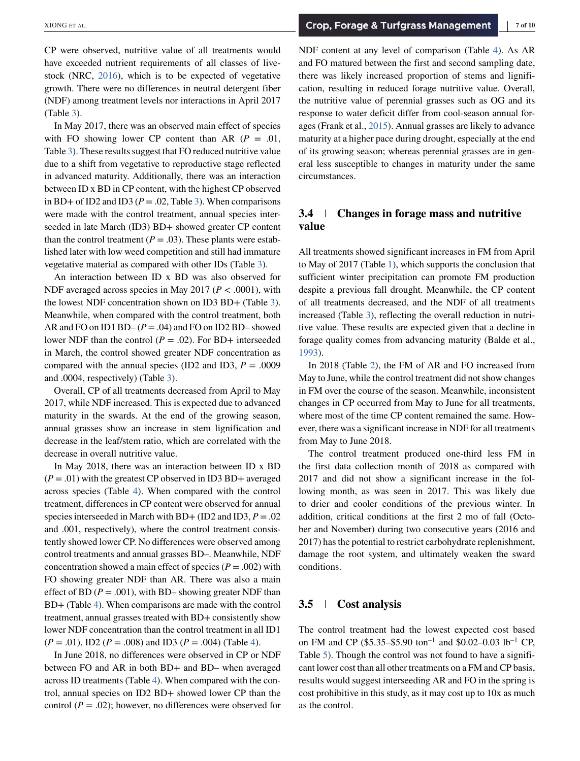CP were observed, nutritive value of all treatments would have exceeded nutrient requirements of all classes of livestock (NRC, [2016\)](#page-9-0), which is to be expected of vegetative growth. There were no differences in neutral detergent fiber (NDF) among treatment levels nor interactions in April 2017 (Table [3\)](#page-5-0).

In May 2017, there was an observed main effect of species with FO showing lower CP content than AR  $(P = .01$ , Table [3\)](#page-5-0). These results suggest that FO reduced nutritive value due to a shift from vegetative to reproductive stage reflected in advanced maturity. Additionally, there was an interaction between ID x BD in CP content, with the highest CP observed in BD+ of ID2 and ID3 ( $P = .02$ , Table [3\)](#page-5-0). When comparisons were made with the control treatment, annual species interseeded in late March (ID3) BD+ showed greater CP content than the control treatment ( $P = .03$ ). These plants were established later with low weed competition and still had immature vegetative material as compared with other IDs (Table [3\)](#page-5-0).

An interaction between ID x BD was also observed for NDF averaged across species in May 2017 ( $P < .0001$ ), with the lowest NDF concentration shown on ID3 BD+ (Table [3\)](#page-5-0). Meanwhile, when compared with the control treatment, both AR and FO on ID1 BD–  $(P = .04)$  and FO on ID2 BD– showed lower NDF than the control  $(P = .02)$ . For BD+ interseeded in March, the control showed greater NDF concentration as compared with the annual species (ID2 and ID3,  $P = .0009$ and .0004, respectively) (Table [3\)](#page-5-0).

Overall, CP of all treatments decreased from April to May 2017, while NDF increased. This is expected due to advanced maturity in the swards. At the end of the growing season, annual grasses show an increase in stem lignification and decrease in the leaf/stem ratio, which are correlated with the decrease in overall nutritive value.

In May 2018, there was an interaction between ID x BD  $(P = .01)$  with the greatest CP observed in ID3 BD+ averaged across species (Table [4\)](#page-7-0). When compared with the control treatment, differences in CP content were observed for annual species interseeded in March with BD+ (ID2 and ID3, *P* = .02 and .001, respectively), where the control treatment consistently showed lower CP. No differences were observed among control treatments and annual grasses BD–. Meanwhile, NDF concentration showed a main effect of species ( $P = .002$ ) with FO showing greater NDF than AR. There was also a main effect of BD  $(P = .001)$ , with BD– showing greater NDF than BD+ (Table [4\)](#page-7-0). When comparisons are made with the control treatment, annual grasses treated with BD+ consistently show lower NDF concentration than the control treatment in all ID1 (*P* = .01), ID2 (*P* = .008) and ID3 (*P* = .004) (Table [4\)](#page-7-0).

In June 2018, no differences were observed in CP or NDF between FO and AR in both BD+ and BD- when averaged across ID treatments (Table [4\)](#page-7-0). When compared with the control, annual species on ID2 BD+ showed lower CP than the control  $(P = .02)$ ; however, no differences were observed for

NDF content at any level of comparison (Table [4\)](#page-7-0). As AR and FO matured between the first and second sampling date, there was likely increased proportion of stems and lignification, resulting in reduced forage nutritive value. Overall, the nutritive value of perennial grasses such as OG and its response to water deficit differ from cool-season annual forages (Frank et al., [2015\)](#page-9-0). Annual grasses are likely to advance maturity at a higher pace during drought, especially at the end of its growing season; whereas perennial grasses are in general less susceptible to changes in maturity under the same circumstances.

## **3.4 Changes in forage mass and nutritive value**

All treatments showed significant increases in FM from April to May of 2017 (Table [1\)](#page-3-0), which supports the conclusion that sufficient winter precipitation can promote FM production despite a previous fall drought. Meanwhile, the CP content of all treatments decreased, and the NDF of all treatments increased (Table [3\)](#page-5-0), reflecting the overall reduction in nutritive value. These results are expected given that a decline in forage quality comes from advancing maturity (Balde et al., [1993\)](#page-9-0).

In 2018 (Table [2\)](#page-4-0), the FM of AR and FO increased from May to June, while the control treatment did not show changes in FM over the course of the season. Meanwhile, inconsistent changes in CP occurred from May to June for all treatments, where most of the time CP content remained the same. However, there was a significant increase in NDF for all treatments from May to June 2018.

The control treatment produced one-third less FM in the first data collection month of 2018 as compared with 2017 and did not show a significant increase in the following month, as was seen in 2017. This was likely due to drier and cooler conditions of the previous winter. In addition, critical conditions at the first 2 mo of fall (October and November) during two consecutive years (2016 and 2017) has the potential to restrict carbohydrate replenishment, damage the root system, and ultimately weaken the sward conditions.

## **3.5 Cost analysis**

The control treatment had the lowest expected cost based on FM and CP (\$5.35–\$5.90 ton<sup>-1</sup> and \$0.02–0.03 lb<sup>-1</sup> CP, Table [5\)](#page-8-0). Though the control was not found to have a significant lower cost than all other treatments on a FM and CP basis, results would suggest interseeding AR and FO in the spring is cost prohibitive in this study, as it may cost up to 10x as much as the control.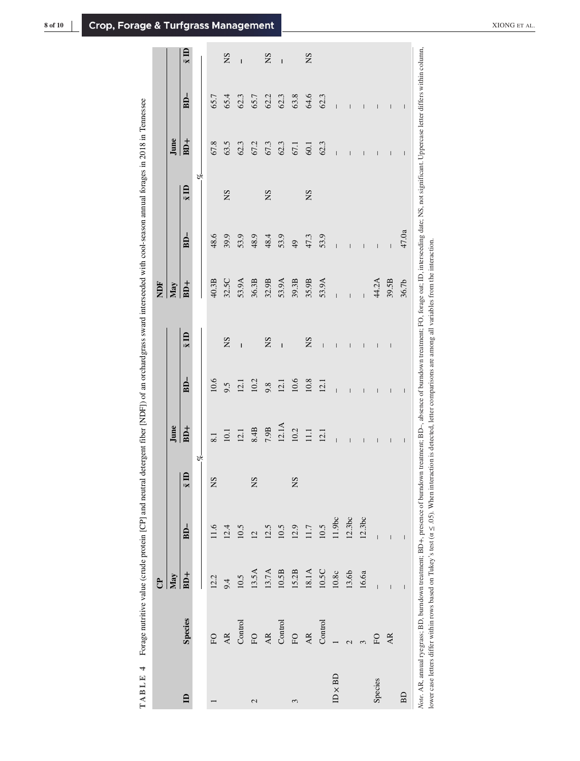|   | ׇׇ֚֘֕֡                                                                                                 |
|---|--------------------------------------------------------------------------------------------------------|
|   | į                                                                                                      |
|   |                                                                                                        |
|   |                                                                                                        |
|   | l<br>֠                                                                                                 |
|   |                                                                                                        |
|   |                                                                                                        |
|   |                                                                                                        |
|   | ׇ֚֡                                                                                                    |
|   |                                                                                                        |
|   |                                                                                                        |
|   |                                                                                                        |
|   |                                                                                                        |
|   | ׇ֚֡                                                                                                    |
|   | 5                                                                                                      |
|   |                                                                                                        |
|   | i                                                                                                      |
|   |                                                                                                        |
|   |                                                                                                        |
|   |                                                                                                        |
|   |                                                                                                        |
|   | ł                                                                                                      |
|   |                                                                                                        |
|   |                                                                                                        |
|   |                                                                                                        |
|   |                                                                                                        |
|   |                                                                                                        |
|   |                                                                                                        |
|   |                                                                                                        |
|   |                                                                                                        |
|   |                                                                                                        |
|   | $\ddotsc$                                                                                              |
|   |                                                                                                        |
|   |                                                                                                        |
|   |                                                                                                        |
|   |                                                                                                        |
|   | į                                                                                                      |
|   |                                                                                                        |
|   | i                                                                                                      |
|   | i                                                                                                      |
|   |                                                                                                        |
|   |                                                                                                        |
|   |                                                                                                        |
|   | ì                                                                                                      |
|   |                                                                                                        |
|   | ֧֧֧֧֧֧֧֧֧֧֧֧֧֧֧֧֓֓֓֝֓֝֬֓֝֬֝֓֝֬֝֓֝֬֝֓֝֬֝֬֝֬֓֓֝֬֓<br>֧ׅ֧֧֧֧֧֧֧֧ׅ֧֪ׅ֧֧֧֧֧֧֧֜֓֬֓֝֬֩֓֜֓֓֓׆<br>֧֧<br>j<br>֘֒ |
|   |                                                                                                        |
|   |                                                                                                        |
|   |                                                                                                        |
|   | ֕                                                                                                      |
|   | į                                                                                                      |
|   | ì<br>$\overline{\phantom{a}}$                                                                          |
|   |                                                                                                        |
|   |                                                                                                        |
|   | ī<br>l                                                                                                 |
|   | j                                                                                                      |
|   | ١                                                                                                      |
|   | Į                                                                                                      |
|   | i                                                                                                      |
|   | ١                                                                                                      |
|   | Ē<br>$\frac{1}{2}$<br>J                                                                                |
|   | I<br>١                                                                                                 |
|   |                                                                                                        |
|   | ì<br>j                                                                                                 |
|   | ļ<br>ł                                                                                                 |
|   | j<br>ļ<br>ï                                                                                            |
|   | ĵ<br>i<br>i                                                                                            |
|   | J                                                                                                      |
|   | ł<br>1<br>ì<br>ì                                                                                       |
|   | į                                                                                                      |
|   | í                                                                                                      |
|   | ļ                                                                                                      |
|   | ֚֘֝                                                                                                    |
|   | j                                                                                                      |
|   | i<br>ł                                                                                                 |
|   | J<br>ļ                                                                                                 |
|   | i<br>ì                                                                                                 |
| Į | ;<br>ļ<br>ı                                                                                            |
|   |                                                                                                        |
|   | j                                                                                                      |
|   | 4                                                                                                      |
|   | ľ<br>י                                                                                                 |
|   | l<br>þ                                                                                                 |
|   | é<br>l<br>4                                                                                            |
|   | ł<br>ĺ<br>l                                                                                            |

<span id="page-7-0"></span>

|                |                                                                                                                                                                                                       | ಕಿ                                    |                                       |                                           |                                             |                                       |                                       | È              |                |              |                                                                                                                                                                                                                                                                                                                                                                                                                |                                                                                                                                                                                                                                                                                                                                                                                                                |                   |
|----------------|-------------------------------------------------------------------------------------------------------------------------------------------------------------------------------------------------------|---------------------------------------|---------------------------------------|-------------------------------------------|---------------------------------------------|---------------------------------------|---------------------------------------|----------------|----------------|--------------|----------------------------------------------------------------------------------------------------------------------------------------------------------------------------------------------------------------------------------------------------------------------------------------------------------------------------------------------------------------------------------------------------------------|----------------------------------------------------------------------------------------------------------------------------------------------------------------------------------------------------------------------------------------------------------------------------------------------------------------------------------------------------------------------------------------------------------------|-------------------|
|                |                                                                                                                                                                                                       | May                                   |                                       |                                           | June                                        |                                       |                                       | May            |                |              | June                                                                                                                                                                                                                                                                                                                                                                                                           |                                                                                                                                                                                                                                                                                                                                                                                                                |                   |
| $\mathbf{r}$   | <b>Species</b>                                                                                                                                                                                        | $BD+$                                 | $BD-$                                 | $\overline{a}$<br>$\overline{\mathbf{x}}$ | $BD+$                                       | $BD-$                                 | $\bar{x}$ ID                          | $BD+$          | $BD-$          | $\bar{x}$ ID | $BD+$                                                                                                                                                                                                                                                                                                                                                                                                          | $BD-$                                                                                                                                                                                                                                                                                                                                                                                                          | $\overline{x}$ ID |
|                |                                                                                                                                                                                                       |                                       |                                       | P,                                        |                                             |                                       |                                       |                |                | Š.           |                                                                                                                                                                                                                                                                                                                                                                                                                |                                                                                                                                                                                                                                                                                                                                                                                                                |                   |
|                | EO                                                                                                                                                                                                    | 12.2                                  | 11.6                                  | SN                                        | 8.1                                         | 10.6                                  |                                       | 40.3B          | 48.6           |              | 67.8                                                                                                                                                                                                                                                                                                                                                                                                           | 65.7                                                                                                                                                                                                                                                                                                                                                                                                           |                   |
|                | AR                                                                                                                                                                                                    | 9.4                                   | 12.4                                  |                                           | 10.1                                        | 9.5                                   | SN                                    | 32.5C          | 39.9           | SN           | 63.5                                                                                                                                                                                                                                                                                                                                                                                                           | 65.4                                                                                                                                                                                                                                                                                                                                                                                                           | SN                |
|                | Control                                                                                                                                                                                               | 10.5                                  | 10.5                                  |                                           | 12.1                                        | 12.1                                  | $\mathbf{I}$                          | 53.9A          | 53.9           |              | 62.3                                                                                                                                                                                                                                                                                                                                                                                                           | 62.3                                                                                                                                                                                                                                                                                                                                                                                                           | $\overline{1}$    |
| 2              | FO                                                                                                                                                                                                    | 13.5A                                 | $\overline{C}$                        | SN                                        | 8.4B                                        | 10.2                                  |                                       | 36.3B          | 48.9           |              | 67.2                                                                                                                                                                                                                                                                                                                                                                                                           | 65.7                                                                                                                                                                                                                                                                                                                                                                                                           |                   |
|                | AR                                                                                                                                                                                                    | 13.7A                                 | 12.5                                  |                                           | $7.9B$                                      | 9.8                                   | SN                                    | 32.9B          | 48.4           | SN           | 67.3                                                                                                                                                                                                                                                                                                                                                                                                           | 62.2                                                                                                                                                                                                                                                                                                                                                                                                           | SN                |
|                | Control                                                                                                                                                                                               | $10.5B$                               | 10.5                                  |                                           | 12.1A                                       | 12.1                                  | $\mathbf{I}$                          | 53.9A          | 53.9           |              | 62.3                                                                                                                                                                                                                                                                                                                                                                                                           | 62.3                                                                                                                                                                                                                                                                                                                                                                                                           | $\overline{1}$    |
| 3              | EO                                                                                                                                                                                                    | 15.2B                                 | 12.9                                  | SN                                        | $\begin{array}{c} 10.2 \\ 11.1 \end{array}$ | $10.6\,$                              |                                       | 39.3B          | $\overline{6}$ |              | 67.1                                                                                                                                                                                                                                                                                                                                                                                                           | 63.8                                                                                                                                                                                                                                                                                                                                                                                                           |                   |
|                | AR.                                                                                                                                                                                                   | $18.1A$                               | 11.7                                  |                                           |                                             | $10.8\,$                              | SN                                    | 35.9B          | 47.3           | SN           | 60.1                                                                                                                                                                                                                                                                                                                                                                                                           | 64.6                                                                                                                                                                                                                                                                                                                                                                                                           | SN                |
|                | Control                                                                                                                                                                                               | $10.5C$                               | 10.5                                  |                                           | 12.1                                        | 12.1                                  | $\overline{1}$                        | 53.9A          | 53.9           |              | 62.3                                                                                                                                                                                                                                                                                                                                                                                                           | 62.3                                                                                                                                                                                                                                                                                                                                                                                                           |                   |
| $ID \times BD$ |                                                                                                                                                                                                       | $10.8c$                               | 11.9bc                                |                                           | $\overline{1}$                              | $\overline{1}$                        | $\begin{array}{c} \hline \end{array}$ | $\overline{1}$ | $\overline{1}$ |              | $\overline{1}$                                                                                                                                                                                                                                                                                                                                                                                                 | $\overline{1}$                                                                                                                                                                                                                                                                                                                                                                                                 |                   |
|                |                                                                                                                                                                                                       | 13.6b                                 | 12.3bc                                |                                           | Ī                                           | Ī                                     | Ī                                     | $\overline{1}$ | Ī              |              | I                                                                                                                                                                                                                                                                                                                                                                                                              | I                                                                                                                                                                                                                                                                                                                                                                                                              |                   |
|                |                                                                                                                                                                                                       | 16.6a                                 | 12.3bc                                |                                           | Ī                                           | Ī                                     | Ī                                     |                | $\mathsf{I}$   |              | Ī                                                                                                                                                                                                                                                                                                                                                                                                              | I                                                                                                                                                                                                                                                                                                                                                                                                              |                   |
| Species        | EO                                                                                                                                                                                                    | $\overline{1}$                        | $\overline{1}$                        |                                           | $\overline{\phantom{a}}$                    | $\overline{\phantom{a}}$              | $\overline{\phantom{a}}$              | 44.2A          | $\overline{1}$ |              | $\overline{1}$                                                                                                                                                                                                                                                                                                                                                                                                 | $\overline{\phantom{a}}$                                                                                                                                                                                                                                                                                                                                                                                       |                   |
|                | AR.                                                                                                                                                                                                   | $\overline{1}$                        | $\overline{\phantom{a}}$              |                                           | $\overline{\phantom{a}}$                    | $\begin{array}{c} \hline \end{array}$ | $\begin{array}{c} \hline \end{array}$ | 39.5B          | $\overline{1}$ |              | $\overline{\phantom{a}}$                                                                                                                                                                                                                                                                                                                                                                                       | $\begin{array}{c} \hline \end{array}$                                                                                                                                                                                                                                                                                                                                                                          |                   |
| BD             |                                                                                                                                                                                                       | $\begin{array}{c} \hline \end{array}$ | $\begin{array}{c} \hline \end{array}$ |                                           | $\sf I$                                     | $\sf I$                               |                                       | 36.7b          | 47.0a          |              | $\begin{array}{c} \rule{0pt}{2ex} \rule{0pt}{2ex} \rule{0pt}{2ex} \rule{0pt}{2ex} \rule{0pt}{2ex} \rule{0pt}{2ex} \rule{0pt}{2ex} \rule{0pt}{2ex} \rule{0pt}{2ex} \rule{0pt}{2ex} \rule{0pt}{2ex} \rule{0pt}{2ex} \rule{0pt}{2ex} \rule{0pt}{2ex} \rule{0pt}{2ex} \rule{0pt}{2ex} \rule{0pt}{2ex} \rule{0pt}{2ex} \rule{0pt}{2ex} \rule{0pt}{2ex} \rule{0pt}{2ex} \rule{0pt}{2ex} \rule{0pt}{2ex} \rule{0pt}{$ | $\begin{array}{c} \rule{0pt}{2ex} \rule{0pt}{2ex} \rule{0pt}{2ex} \rule{0pt}{2ex} \rule{0pt}{2ex} \rule{0pt}{2ex} \rule{0pt}{2ex} \rule{0pt}{2ex} \rule{0pt}{2ex} \rule{0pt}{2ex} \rule{0pt}{2ex} \rule{0pt}{2ex} \rule{0pt}{2ex} \rule{0pt}{2ex} \rule{0pt}{2ex} \rule{0pt}{2ex} \rule{0pt}{2ex} \rule{0pt}{2ex} \rule{0pt}{2ex} \rule{0pt}{2ex} \rule{0pt}{2ex} \rule{0pt}{2ex} \rule{0pt}{2ex} \rule{0pt}{$ |                   |
|                | Note. AR, annual ryegrass; BD, burndown treatment; BD+, presence of burndown treatment; mearment; FO, forage oat; ID, interseeding date; NS, not significant. Uppercase letter differs within column, |                                       |                                       |                                           |                                             |                                       |                                       |                |                |              |                                                                                                                                                                                                                                                                                                                                                                                                                |                                                                                                                                                                                                                                                                                                                                                                                                                |                   |

lower case letters differ within rows based on Tukey's test ( $\alpha \leq .05$ ). When interaction is detected, letter comparisons are among all variables from the interaction. lower case letters differ within rows based on Tukey's test (α ≤ .05). When interaction is detected, letter comparisons are among all variables from the interaction.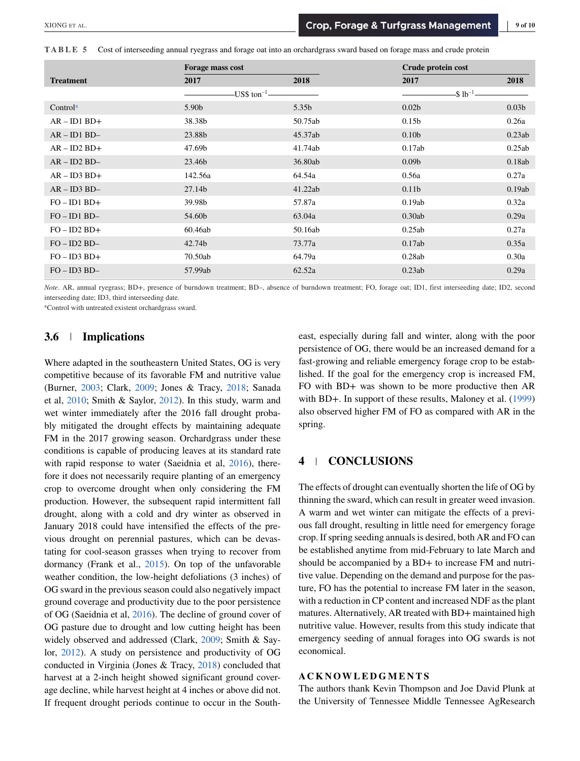<span id="page-8-0"></span>**TABLE 5** Cost of interseeding annual ryegrass and forage oat into an orchardgrass sward based on forage mass and crude protein

|                      | Forage mass cost |                     | Crude protein cost |                   |
|----------------------|------------------|---------------------|--------------------|-------------------|
| <b>Treatment</b>     | 2017             | 2018                | 2017               | 2018              |
|                      |                  | -US\$ ton $^{-1}$ - | $$1b^{-1}$         |                   |
| Control <sup>a</sup> | 5.90b            | 5.35b               | 0.02 <sub>b</sub>  | 0.03 <sub>b</sub> |
| $AR - ID1 BD +$      | 38.38b           | 50.75ab             | 0.15 <sub>b</sub>  | 0.26a             |
| $AR - ID1 BD -$      | 23.88b           | 45.37ab             | 0.10 <sub>b</sub>  | 0.23ab            |
| $AR - ID2 BD +$      | 47.69b           | 41.74ab             | 0.17ab             | 0.25ab            |
| $AR - ID2 BD -$      | 23.46b           | 36.80ab             | 0.09 <sub>b</sub>  | 0.18ab            |
| $AR - ID3 BD +$      | 142.56a          | 64.54a              | 0.56a              | 0.27a             |
| $AR - ID3 BD -$      | 27.14b           | 41.22ab             | 0.11 <sub>b</sub>  | 0.19ab            |
| $FO - ID1 BD +$      | 39.98b           | 57.87a              | 0.19ab             | 0.32a             |
| $FO - ID1 BD -$      | 54.60b           | 63.04a              | 0.30ab             | 0.29a             |
| $FO - ID2 BD +$      | 60.46ab          | 50.16ab             | 0.25ab             | 0.27a             |
| $FO - ID2 BD -$      | 42.74b           | 73.77a              | 0.17ab             | 0.35a             |
| $FO - ID3 BD+$       | 70.50ab          | 64.79a              | 0.28ab             | 0.30a             |
| $FO - ID3 BD -$      | 57.99ab          | 62.52a              | 0.23ab             | 0.29a             |

*Note*. AR, annual ryegrass; BD+, presence of burndown treatment; BD–, absence of burndown treatment; FO, forage oat; ID1, first interseeding date; ID2, second interseeding date; ID3, third interseeding date.

aControl with untreated existent orchardgrass sward.

## **3.6 Implications**

Where adapted in the southeastern United States, OG is very competitive because of its favorable FM and nutritive value (Burner, [2003;](#page-9-0) Clark, [2009;](#page-9-0) Jones & Tracy, [2018;](#page-9-0) Sanada et al, [2010;](#page-9-0) Smith & Saylor, [2012\)](#page-9-0). In this study, warm and wet winter immediately after the 2016 fall drought probably mitigated the drought effects by maintaining adequate FM in the 2017 growing season. Orchardgrass under these conditions is capable of producing leaves at its standard rate with rapid response to water (Saeidnia et al, [2016\)](#page-9-0), therefore it does not necessarily require planting of an emergency crop to overcome drought when only considering the FM production. However, the subsequent rapid intermittent fall drought, along with a cold and dry winter as observed in January 2018 could have intensified the effects of the previous drought on perennial pastures, which can be devastating for cool-season grasses when trying to recover from dormancy (Frank et al., [2015\)](#page-9-0). On top of the unfavorable weather condition, the low-height defoliations (3 inches) of OG sward in the previous season could also negatively impact ground coverage and productivity due to the poor persistence of OG (Saeidnia et al, [2016\)](#page-9-0). The decline of ground cover of OG pasture due to drought and low cutting height has been widely observed and addressed (Clark, [2009;](#page-9-0) Smith & Saylor, [2012\)](#page-9-0). A study on persistence and productivity of OG conducted in Virginia (Jones & Tracy, [2018\)](#page-9-0) concluded that harvest at a 2-inch height showed significant ground coverage decline, while harvest height at 4 inches or above did not. If frequent drought periods continue to occur in the Southeast, especially during fall and winter, along with the poor persistence of OG, there would be an increased demand for a fast-growing and reliable emergency forage crop to be established. If the goal for the emergency crop is increased FM, FO with BD+ was shown to be more productive then AR with BD+. In support of these results, Maloney et al. [\(1999\)](#page-9-0) also observed higher FM of FO as compared with AR in the spring.

## **4 CONCLUSIONS**

The effects of drought can eventually shorten the life of OG by thinning the sward, which can result in greater weed invasion. A warm and wet winter can mitigate the effects of a previous fall drought, resulting in little need for emergency forage crop. If spring seeding annuals is desired, both AR and FO can be established anytime from mid-February to late March and should be accompanied by a BD+ to increase FM and nutritive value. Depending on the demand and purpose for the pasture, FO has the potential to increase FM later in the season, with a reduction in CP content and increased NDF as the plant matures. Alternatively, AR treated with BD+ maintained high nutritive value. However, results from this study indicate that emergency seeding of annual forages into OG swards is not economical.

#### **ACKNOWLEDGMENTS**

The authors thank Kevin Thompson and Joe David Plunk at the University of Tennessee Middle Tennessee AgResearch